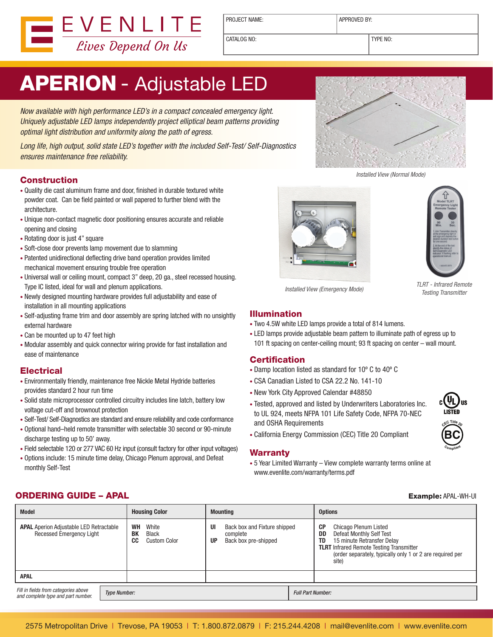

PROJECT NAME:  $\vert$  APPROVED BY:

CATALOG NO: TYPE NO:

# APERION - Adjustable LED

Now available with high performance LED's in a compact concealed emergency light. Uniquely adjustable LED lamps independently project elliptical beam patterns providing optimal light distribution and uniformity along the path of egress.

Long life, high output, solid state LED's together with the included Self-Test/ Self-Diagnostics ensures maintenance free reliability.

#### **Construction**

- • Quality die cast aluminum frame and door, finished in durable textured white powder coat. Can be field painted or wall papered to further blend with the architecture.
- • Unique non-contact magnetic door positioning ensures accurate and reliable opening and closing
- Rotating door is just 4" square
- Soft-close door prevents lamp movement due to slamming
- Patented unidirectional deflecting drive band operation provides limited mechanical movement ensuring trouble free operation
- Universal wall or ceiling mount, compact 3" deep, 20 ga., steel recessed housing. Type IC listed, ideal for wall and plenum applications.
- • Newly designed mounting hardware provides full adjustability and ease of installation in all mounting applications
- Self-adjusting frame trim and door assembly are spring latched with no unsightly external hardware
- Can be mounted up to 47 feet high
- • Modular assembly and quick connector wiring provide for fast installation and ease of maintenance

#### **Electrical**

- Environmentally friendly, maintenance free Nickle Metal Hydride batteries provides standard 2 hour run time
- • Solid state microprocessor controlled circuitry includes line latch, battery low voltage cut-off and brownout protection
- Self-Test/ Self-Diagnostics are standard and ensure reliability and code conformance
- • Optional hand–held remote transmitter with selectable 30 second or 90-minute discharge testing up to 50' away.
- Field selectable 120 or 277 VAC 60 Hz input (consult factory for other input voltages)
- • Options include: 15 minute time delay, Chicago Plenum approval, and Defeat monthly Self-Test



Installed View (Normal Mode)





TLRT - Infrared Remote

Installed View (Emergency Mode)<br>Testing Transmitter

#### Illumination

- Two 4.5W white LED lamps provide a total of 814 lumens.
- LED lamps provide adjustable beam pattern to illuminate path of egress up to 101 ft spacing on center-ceiling mount; 93 ft spacing on center – wall mount.

#### **Certification**

- • Damp location listed as standard for 10º C to 40º C
- • CSA Canadian Listed to CSA 22.2 No. 141-10
- New York City Approved Calendar #48850
- Tested, approved and listed by Underwriters Laboratories Inc. to UL 924, meets NFPA 101 Life Safety Code, NFPA 70-NEC and OSHA Requirements



• California Energy Commission (CEC) Title 20 Compliant

#### **Warranty**

• 5 Year Limited Warranty – View complete warranty terms online at www.evenlite.com/warranty/terms.pdf

#### **ORDERING GUIDE – APAL Example: APAL Example: APAL-WH-UI**

| <b>Model</b>                                                                      |                     | <b>Housing Color</b>                                                         | <b>Mounting</b> |                                                                  |  | <b>Options</b>                                                                                                                                                                                                                           |  |
|-----------------------------------------------------------------------------------|---------------------|------------------------------------------------------------------------------|-----------------|------------------------------------------------------------------|--|------------------------------------------------------------------------------------------------------------------------------------------------------------------------------------------------------------------------------------------|--|
| <b>APAL</b> Aperion Adjustable LED Retractable<br><b>Recessed Emergency Light</b> |                     | <b>WH</b><br>White<br><b>BK</b><br><b>Black</b><br>CC<br><b>Custom Color</b> | UI<br><b>UP</b> | Back box and Fixture shipped<br>complete<br>Back box pre-shipped |  | СP<br><b>Chicago Plenum Listed</b><br>Defeat Monthly Self Test<br>DD<br>15 minute Retransfer Delay<br><b>TD</b><br><b>TLRT</b> Infrared Remote Testing Transmitter<br>(order separately, typically only 1 or 2 are required per<br>site) |  |
| <b>APAL</b>                                                                       |                     |                                                                              |                 |                                                                  |  |                                                                                                                                                                                                                                          |  |
| Fill in fields from categories above<br>and complete type and part number.        | <b>Type Number:</b> |                                                                              |                 | <b>Full Part Number:</b>                                         |  |                                                                                                                                                                                                                                          |  |